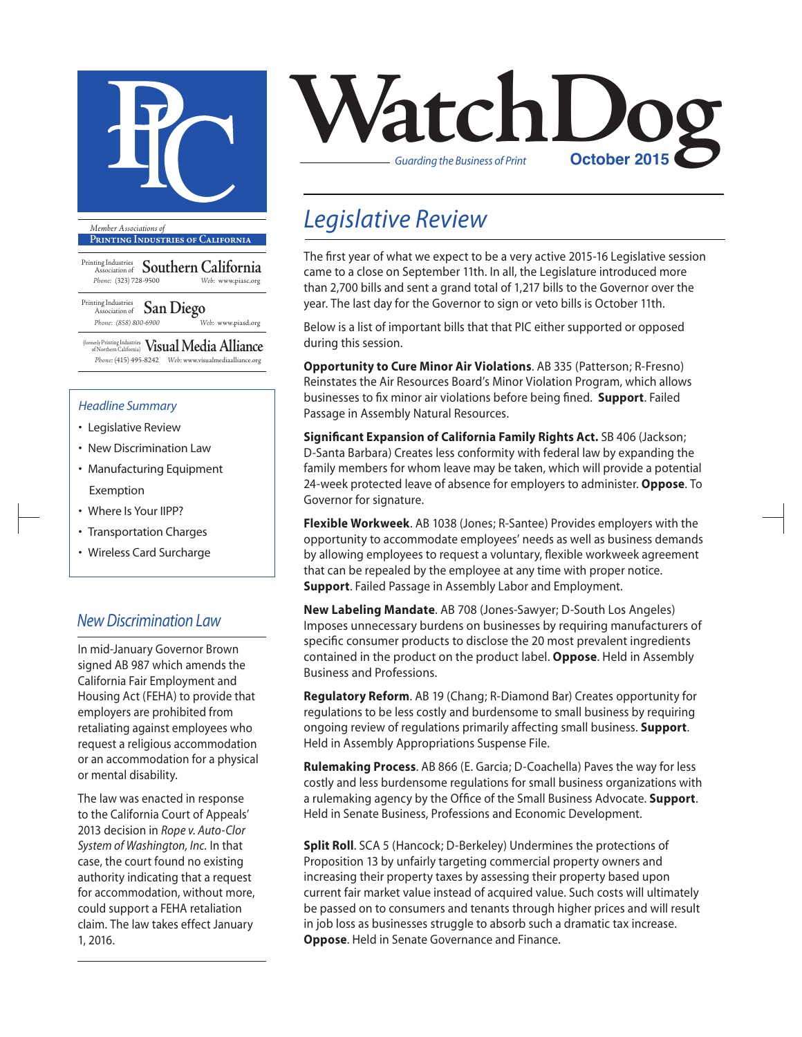

**Printing Industries of California**

Printing Industries Association of **Southern California** *Phone:* (323) 728-9500 *Web:* www.piasc.org

Printing Industries Association of **San Diego** *Phone: (858) 800-6900 Web:* www.piasd.org

(formerly Printing Industries of Northern California) **Visual Media Alliance** *Phone:* (415) 495-8242 *Web:* www.visualmediaalliance.org

#### *Headline Summary*

- Legislative Review
- New Discrimination Law
- Manufacturing Equipment Exemption
- Where Is Your IIPP?
- Transportation Charges
- Wireless Card Surcharge

### *New Discrimination Law*

In mid-January Governor Brown signed AB 987 which amends the California Fair Employment and Housing Act (FEHA) to provide that employers are prohibited from retaliating against employees who request a religious accommodation or an accommodation for a physical or mental disability.

The law was enacted in response to the California Court of Appeals' 2013 decision in *Rope v. Auto-Clor System of Washington, Inc.* In that case, the court found no existing authority indicating that a request for accommodation, without more, could support a FEHA retaliation claim. The law takes effect January 1, 2016.



## *Legislative Review*

The first year of what we expect to be a very active 2015-16 Legislative session came to a close on September 11th. In all, the Legislature introduced more than 2,700 bills and sent a grand total of 1,217 bills to the Governor over the year. The last day for the Governor to sign or veto bills is October 11th.

Below is a list of important bills that that PIC either supported or opposed during this session.

**Opportunity to Cure Minor Air Violations**. AB 335 (Patterson; R-Fresno) Reinstates the Air Resources Board's Minor Violation Program, which allows businesses to fix minor air violations before being fined. **Support**. Failed Passage in Assembly Natural Resources.

**Significant Expansion of California Family Rights Act.** SB 406 (Jackson; D-Santa Barbara) Creates less conformity with federal law by expanding the family members for whom leave may be taken, which will provide a potential 24-week protected leave of absence for employers to administer. **Oppose**. To Governor for signature.

**Flexible Workweek**. AB 1038 (Jones; R-Santee) Provides employers with the opportunity to accommodate employees' needs as well as business demands by allowing employees to request a voluntary, flexible workweek agreement that can be repealed by the employee at any time with proper notice. **Support**. Failed Passage in Assembly Labor and Employment.

**New Labeling Mandate**. AB 708 (Jones-Sawyer; D-South Los Angeles) Imposes unnecessary burdens on businesses by requiring manufacturers of specific consumer products to disclose the 20 most prevalent ingredients contained in the product on the product label. **Oppose**. Held in Assembly Business and Professions.

**Regulatory Reform**. AB 19 (Chang; R-Diamond Bar) Creates opportunity for regulations to be less costly and burdensome to small business by requiring ongoing review of regulations primarily affecting small business. **Support**. Held in Assembly Appropriations Suspense File.

**Rulemaking Process**. AB 866 (E. Garcia; D-Coachella) Paves the way for less costly and less burdensome regulations for small business organizations with a rulemaking agency by the Office of the Small Business Advocate. **Support**. Held in Senate Business, Professions and Economic Development.

**Split Roll**. SCA 5 (Hancock; D-Berkeley) Undermines the protections of Proposition 13 by unfairly targeting commercial property owners and increasing their property taxes by assessing their property based upon current fair market value instead of acquired value. Such costs will ultimately be passed on to consumers and tenants through higher prices and will result in job loss as businesses struggle to absorb such a dramatic tax increase. **Oppose**. Held in Senate Governance and Finance.